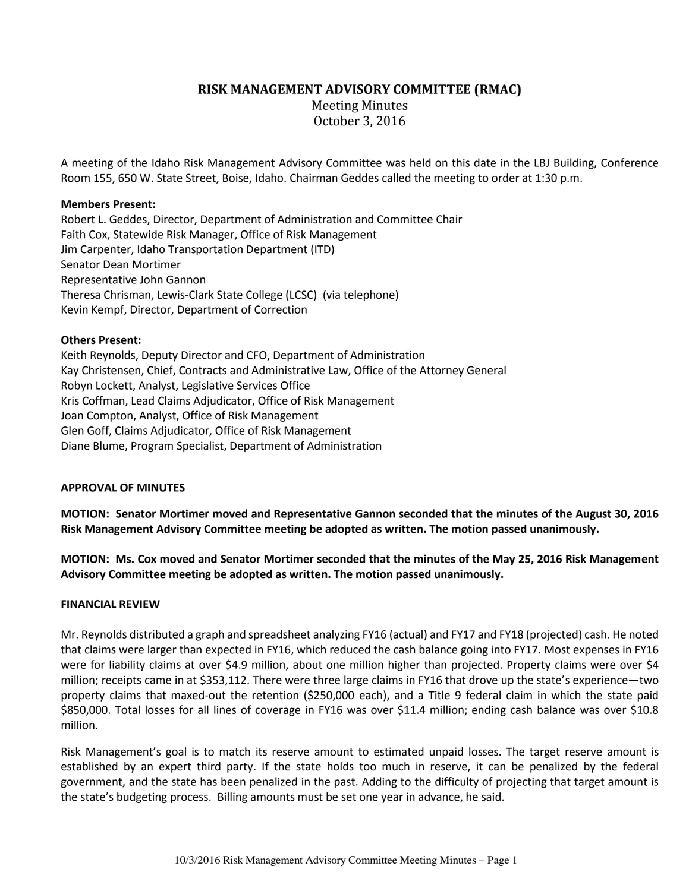## **RISK MANAGEMENT ADVISORY COMMITTEE (RMAC)**

Meeting Minutes October 3, 2016

A meeting of the Idaho Risk Management Advisory Committee was held on this date in the LBJ Building, Conference Room 155, 650 W. State Street, Boise, Idaho. Chairman Geddes called the meeting to order at 1:30 p.m.

### **Members Present:**

Robert L. Geddes, Director, Department of Administration and Committee Chair Faith Cox, Statewide Risk Manager, Office of Risk Management Jim Carpenter, Idaho Transportation Department (ITD) Senator Dean Mortimer Representative John Gannon Theresa Chrisman, Lewis-Clark State College (LCSC) (via telephone) Kevin Kempf, Director, Department of Correction

### **Others Present:**

Keith Reynolds, Deputy Director and CFO, Department of Administration Kay Christensen, Chief, Contracts and Administrative Law, Office of the Attorney General Robyn Lockett, Analyst, Legislative Services Office Kris Coffman, Lead Claims Adjudicator, Office of Risk Management Joan Compton, Analyst, Office of Risk Management Glen Goff, Claims Adjudicator, Office of Risk Management Diane Blume, Program Specialist, Department of Administration

#### **APPROVAL OF MINUTES**

**MOTION: Senator Mortimer moved and Representative Gannon seconded that the minutes of the August 30, 2016 Risk Management Advisory Committee meeting be adopted as written. The motion passed unanimously.**

**MOTION: Ms. Cox moved and Senator Mortimer seconded that the minutes of the May 25, 2016 Risk Management Advisory Committee meeting be adopted as written. The motion passed unanimously.**

#### **FINANCIAL REVIEW**

Mr. Reynolds distributed a graph and spreadsheet analyzing FY16 (actual) and FY17 and FY18 (projected) cash. He noted that claims were larger than expected in FY16, which reduced the cash balance going into FY17. Most expenses in FY16 were for liability claims at over \$4.9 million, about one million higher than projected. Property claims were over \$4 million; receipts came in at \$353,112. There were three large claims in FY16 that drove up the state's experience—two property claims that maxed-out the retention (\$250,000 each), and a Title 9 federal claim in which the state paid \$850,000. Total losses for all lines of coverage in FY16 was over \$11.4 million; ending cash balance was over \$10.8 million.

Risk Management's goal is to match its reserve amount to estimated unpaid losses. The target reserve amount is established by an expert third party. If the state holds too much in reserve, it can be penalized by the federal government, and the state has been penalized in the past. Adding to the difficulty of projecting that target amount is the state's budgeting process. Billing amounts must be set one year in advance, he said.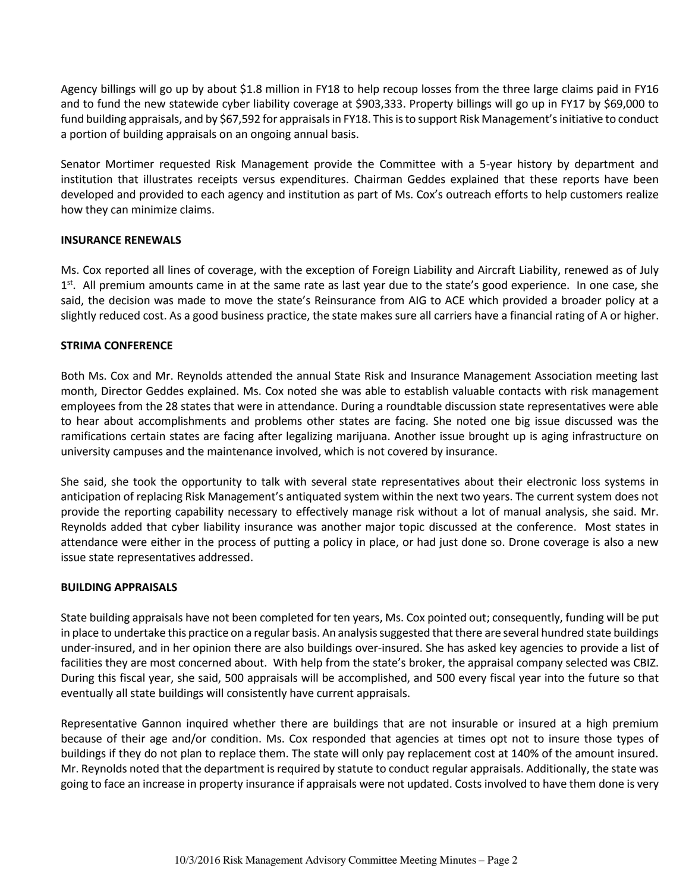Agency billings will go up by about \$1.8 million in FY18 to help recoup losses from the three large claims paid in FY16 and to fund the new statewide cyber liability coverage at \$903,333. Property billings will go up in FY17 by \$69,000 to fund building appraisals, and by \$67,592 for appraisals in FY18. This is to support Risk Management's initiative to conduct a portion of building appraisals on an ongoing annual basis.

Senator Mortimer requested Risk Management provide the Committee with a 5-year history by department and institution that illustrates receipts versus expenditures. Chairman Geddes explained that these reports have been developed and provided to each agency and institution as part of Ms. Cox's outreach efforts to help customers realize how they can minimize claims.

## **INSURANCE RENEWALS**

Ms. Cox reported all lines of coverage, with the exception of Foreign Liability and Aircraft Liability, renewed as of July 1<sup>st</sup>. All premium amounts came in at the same rate as last year due to the state's good experience. In one case, she said, the decision was made to move the state's Reinsurance from AIG to ACE which provided a broader policy at a slightly reduced cost. As a good business practice, the state makes sure all carriers have a financial rating of A or higher.

# **STRIMA CONFERENCE**

Both Ms. Cox and Mr. Reynolds attended the annual State Risk and Insurance Management Association meeting last month, Director Geddes explained. Ms. Cox noted she was able to establish valuable contacts with risk management employees from the 28 states that were in attendance. During a roundtable discussion state representatives were able to hear about accomplishments and problems other states are facing. She noted one big issue discussed was the ramifications certain states are facing after legalizing marijuana. Another issue brought up is aging infrastructure on university campuses and the maintenance involved, which is not covered by insurance.

She said, she took the opportunity to talk with several state representatives about their electronic loss systems in anticipation of replacing Risk Management's antiquated system within the next two years. The current system does not provide the reporting capability necessary to effectively manage risk without a lot of manual analysis, she said. Mr. Reynolds added that cyber liability insurance was another major topic discussed at the conference. Most states in attendance were either in the process of putting a policy in place, or had just done so. Drone coverage is also a new issue state representatives addressed.

## **BUILDING APPRAISALS**

State building appraisals have not been completed for ten years, Ms. Cox pointed out; consequently, funding will be put in place to undertake this practice on a regular basis. An analysis suggested that there are several hundred state buildings under-insured, and in her opinion there are also buildings over-insured. She has asked key agencies to provide a list of facilities they are most concerned about. With help from the state's broker, the appraisal company selected was CBIZ. During this fiscal year, she said, 500 appraisals will be accomplished, and 500 every fiscal year into the future so that eventually all state buildings will consistently have current appraisals.

Representative Gannon inquired whether there are buildings that are not insurable or insured at a high premium because of their age and/or condition. Ms. Cox responded that agencies at times opt not to insure those types of buildings if they do not plan to replace them. The state will only pay replacement cost at 140% of the amount insured. Mr. Reynolds noted that the department is required by statute to conduct regular appraisals. Additionally, the state was going to face an increase in property insurance if appraisals were not updated. Costs involved to have them done is very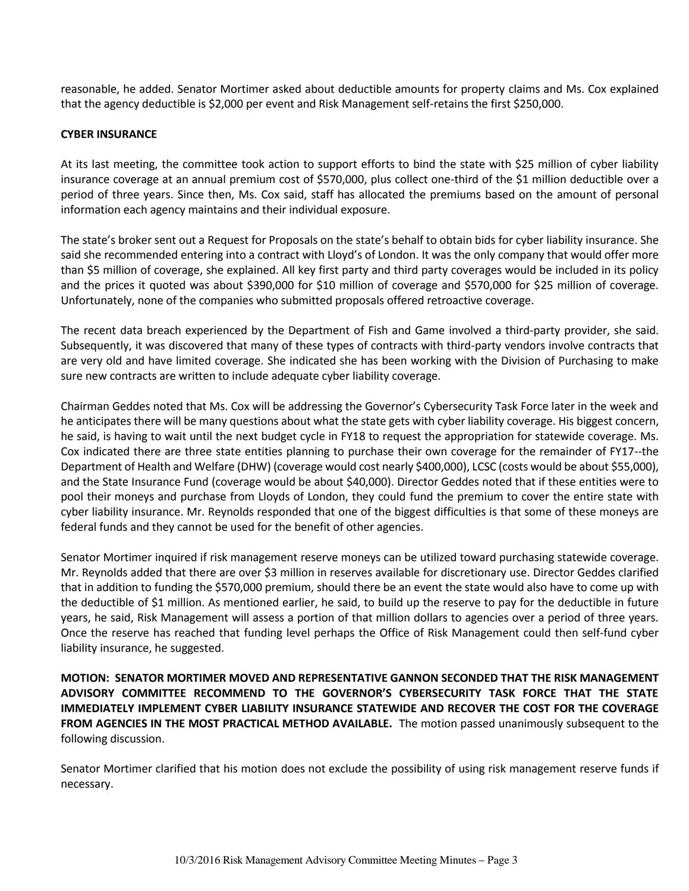reasonable, he added. Senator Mortimer asked about deductible amounts for property claims and Ms. Cox explained that the agency deductible is \$2,000 per event and Risk Management self-retains the first \$250,000.

### **CYBER INSURANCE**

At its last meeting, the committee took action to support efforts to bind the state with \$25 million of cyber liability insurance coverage at an annual premium cost of \$570,000, plus collect one-third of the \$1 million deductible over a period of three years. Since then, Ms. Cox said, staff has allocated the premiums based on the amount of personal information each agency maintains and their individual exposure.

The state's broker sent out a Request for Proposals on the state's behalf to obtain bids for cyber liability insurance. She said she recommended entering into a contract with Lloyd's of London. It was the only company that would offer more than \$5 million of coverage, she explained. All key first party and third party coverages would be included in its policy and the prices it quoted was about \$390,000 for \$10 million of coverage and \$570,000 for \$25 million of coverage. Unfortunately, none of the companies who submitted proposals offered retroactive coverage.

The recent data breach experienced by the Department of Fish and Game involved a third-party provider, she said. Subsequently, it was discovered that many of these types of contracts with third-party vendors involve contracts that are very old and have limited coverage. She indicated she has been working with the Division of Purchasing to make sure new contracts are written to include adequate cyber liability coverage.

Chairman Geddes noted that Ms. Cox will be addressing the Governor's Cybersecurity Task Force later in the week and he anticipates there will be many questions about what the state gets with cyber liability coverage. His biggest concern, he said, is having to wait until the next budget cycle in FY18 to request the appropriation for statewide coverage. Ms. Cox indicated there are three state entities planning to purchase their own coverage for the remainder of FY17--the Department of Health and Welfare (DHW) (coverage would cost nearly \$400,000), LCSC (costs would be about \$55,000), and the State Insurance Fund (coverage would be about \$40,000). Director Geddes noted that if these entities were to pool their moneys and purchase from Lloyds of London, they could fund the premium to cover the entire state with cyber liability insurance. Mr. Reynolds responded that one of the biggest difficulties is that some of these moneys are federal funds and they cannot be used for the benefit of other agencies.

Senator Mortimer inquired if risk management reserve moneys can be utilized toward purchasing statewide coverage. Mr. Reynolds added that there are over \$3 million in reserves available for discretionary use. Director Geddes clarified that in addition to funding the \$570,000 premium, should there be an event the state would also have to come up with the deductible of \$1 million. As mentioned earlier, he said, to build up the reserve to pay for the deductible in future years, he said, Risk Management will assess a portion of that million dollars to agencies over a period of three years. Once the reserve has reached that funding level perhaps the Office of Risk Management could then self-fund cyber liability insurance, he suggested.

**MOTION: SENATOR MORTIMER MOVED AND REPRESENTATIVE GANNON SECONDED THAT THE RISK MANAGEMENT ADVISORY COMMITTEE RECOMMEND TO THE GOVERNOR'S CYBERSECURITY TASK FORCE THAT THE STATE IMMEDIATELY IMPLEMENT CYBER LIABILITY INSURANCE STATEWIDE AND RECOVER THE COST FOR THE COVERAGE FROM AGENCIES IN THE MOST PRACTICAL METHOD AVAILABLE.** The motion passed unanimously subsequent to the following discussion.

Senator Mortimer clarified that his motion does not exclude the possibility of using risk management reserve funds if necessary.